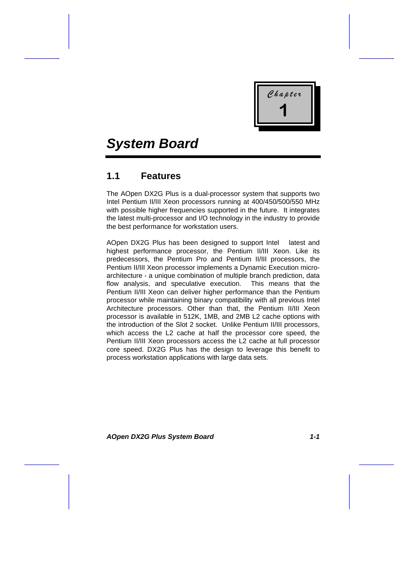

# *System Board*

# **1.1 Features**

The AOpen DX2G Plus is a dual-processor system that supports two Intel Pentium II/III Xeon processors running at 400/450/500/550 MHz with possible higher frequencies supported in the future. It integrates the latest multi-processor and I/O technology in the industry to provide the best performance for workstation users.

AOpen DX2G Plus has been designed to support Intel latest and highest performance processor, the Pentium II/III Xeon. Like its predecessors, the Pentium Pro and Pentium II/III processors, the Pentium II/III Xeon processor implements a Dynamic Execution microarchitecture - a unique combination of multiple branch prediction, data flow analysis, and speculative execution. This means that the Pentium II/III Xeon can deliver higher performance than the Pentium processor while maintaining binary compatibility with all previous Intel Architecture processors. Other than that, the Pentium II/III Xeon processor is available in 512K, 1MB, and 2MB L2 cache options with the introduction of the Slot 2 socket. Unlike Pentium II/III processors, which access the L2 cache at half the processor core speed, the Pentium II/III Xeon processors access the L2 cache at full processor core speed. DX2G Plus has the design to leverage this benefit to process workstation applications with large data sets.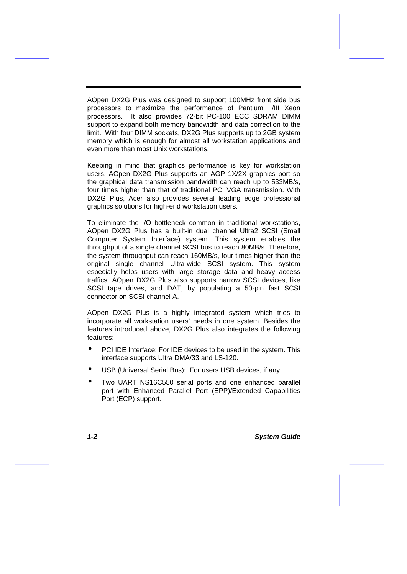AOpen DX2G Plus was designed to support 100MHz front side bus processors to maximize the performance of Pentium II/III Xeon processors. It also provides 72-bit PC-100 ECC SDRAM DIMM support to expand both memory bandwidth and data correction to the limit. With four DIMM sockets, DX2G Plus supports up to 2GB system memory which is enough for almost all workstation applications and even more than most Unix workstations.

Keeping in mind that graphics performance is key for workstation users, AOpen DX2G Plus supports an AGP 1X/2X graphics port so the graphical data transmission bandwidth can reach up to 533MB/s, four times higher than that of traditional PCI VGA transmission. With DX2G Plus, Acer also provides several leading edge professional graphics solutions for high-end workstation users.

To eliminate the I/O bottleneck common in traditional workstations, AOpen DX2G Plus has a built-in dual channel Ultra2 SCSI (Small Computer System Interface) system. This system enables the throughput of a single channel SCSI bus to reach 80MB/s. Therefore, the system throughput can reach 160MB/s, four times higher than the original single channel Ultra-wide SCSI system. This system especially helps users with large storage data and heavy access traffics. AOpen DX2G Plus also supports narrow SCSI devices, like SCSI tape drives, and DAT, by populating a 50-pin fast SCSI connector on SCSI channel A.

AOpen DX2G Plus is a highly integrated system which tries to incorporate all workstation users' needs in one system. Besides the features introduced above, DX2G Plus also integrates the following features:

- PCI IDE Interface: For IDE devices to be used in the system. This interface supports Ultra DMA/33 and LS-120.
- USB (Universal Serial Bus): For users USB devices, if any.
- Two UART NS16C550 serial ports and one enhanced parallel port with Enhanced Parallel Port (EPP)/Extended Capabilities Port (ECP) support.

*1-2 System Guide*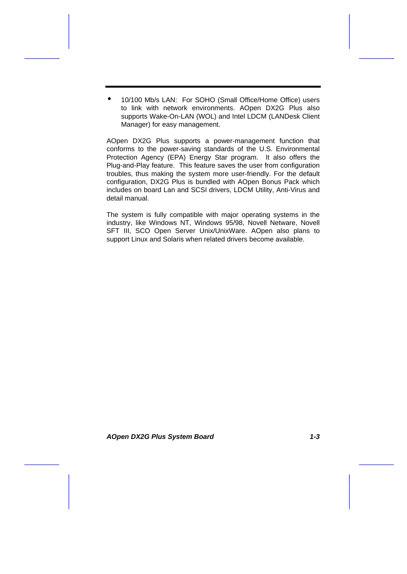• 10/100 Mb/s LAN: For SOHO (Small Office/Home Office) users to link with network environments. AOpen DX2G Plus also supports Wake-On-LAN (WOL) and Intel LDCM (LANDesk Client Manager) for easy management.

AOpen DX2G Plus supports a power-management function that conforms to the power-saving standards of the U.S. Environmental Protection Agency (EPA) Energy Star program. It also offers the Plug-and-Play feature. This feature saves the user from configuration troubles, thus making the system more user-friendly. For the default configuration, DX2G Plus is bundled with AOpen Bonus Pack which includes on board Lan and SCSI drivers, LDCM Utility, Anti-Virus and detail manual.

The system is fully compatible with major operating systems in the industry, like Windows NT, Windows 95/98, Novell Netware, Novell SFT III, SCO Open Server Unix/UnixWare. AOpen also plans to support Linux and Solaris when related drivers become available.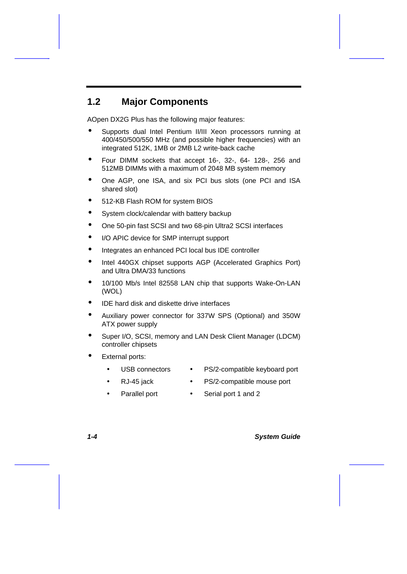# **1.2 Major Components**

AOpen DX2G Plus has the following major features:

- Supports dual Intel Pentium II/III Xeon processors running at 400/450/500/550 MHz (and possible higher frequencies) with an integrated 512K, 1MB or 2MB L2 write-back cache
- Four DIMM sockets that accept 16-, 32-, 64- 128-, 256 and 512MB DIMMs with a maximum of 2048 MB system memory
- One AGP, one ISA, and six PCI bus slots (one PCI and ISA shared slot)
- 512-KB Flash ROM for system BIOS
- System clock/calendar with battery backup
- One 50-pin fast SCSI and two 68-pin Ultra2 SCSI interfaces
- I/O APIC device for SMP interrupt support
- Integrates an enhanced PCI local bus IDE controller
- Intel 440GX chipset supports AGP (Accelerated Graphics Port) and Ultra DMA/33 functions
- 10/100 Mb/s Intel 82558 LAN chip that supports Wake-On-LAN (WOL)
- IDE hard disk and diskette drive interfaces
- Auxiliary power connector for 337W SPS (Optional) and 350W ATX power supply
- Super I/O, SCSI, memory and LAN Desk Client Manager (LDCM) controller chipsets
- **External ports:** 
	- - USB connectors PS/2-compatible keyboard port
		- RJ-45 jack PS/2-compatible mouse port
	- - Parallel port Serial port 1 and 2

*1-4 System Guide*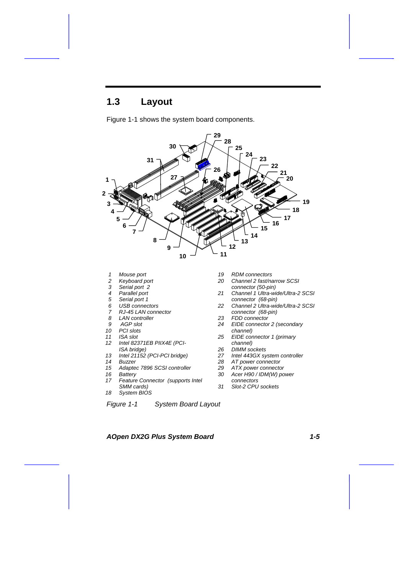# **1.3 Layout**



Figure 1-1 shows the system board components.

- *Mouse port*
- *Keyboard port*
- *Serial port 2*
- *Parallel port*
- *Serial port 1*
- *6 USB connectors*
- *7 RJ-45 LAN connector*
- *LAN controller*
- *9 AGP slot*
- *PCI slots*
- *ISA slot Intel 82371EB PIIX4E (PCI- ISA bridge)*
- *Intel 21152 (PCI-PCI bridge)*
- *Buzzer*
- *Adaptec 7896 SCSI controller*
- *Battery*
- *Feature Connector (supports Intel SMM cards)*
- *System BIOS*
- 

*Figure 1-1 System Board Layout*

- *RDM connectors*
- *Channel 2 fast/narrow SCSI connector (50-pin)*
- *Channel 1 Ultra-wide/Ultra-2 SCSI*
- *connector (68-pin) Channel 2 Ultra-wide/Ultra-2 SCSI*
- *connector (68-pin) FDD connector*
- *EIDE connector 2 (secondary*
- *channel)*<br>25 *EIDE con EIDE connector 1 (primary*
- *channel) DIMM sockets*
- *Intel 443GX system controller*
- *AT power connector*
- *ATX power connector*
- *Acer H90 / IDM(W) power connectors*
- *Slot-2 CPU sockets*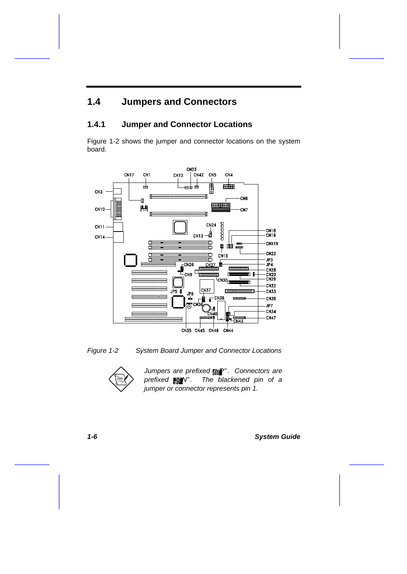# **1.4 Jumpers and Connectors**

## **1.4.1 Jumper and Connector Locations**

Figure 1-2 shows the jumper and connector locations on the system board.







*Jumpers are prefixed*  $P^*$  *. Connectors are prefixed N" . The blackened pin of a jumper or connector represents pin 1.*

*1-6 System Guide*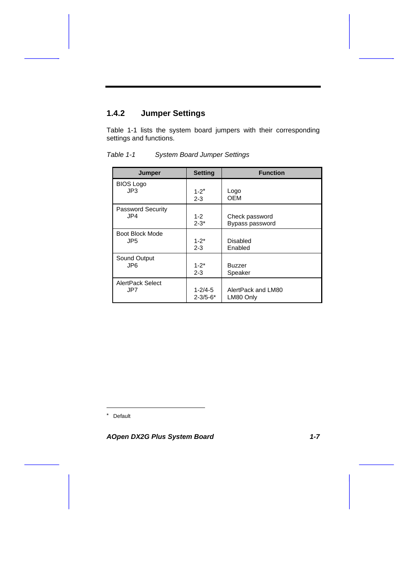# **1.4.2 Jumper Settings**

Table 1-1 lists the system board jumpers with their corresponding settings and functions.

| <b>Jumper</b>            | <b>Setting</b> | <b>Function</b>    |
|--------------------------|----------------|--------------------|
| <b>BIOS Logo</b><br>JP3  | $1 - 2^*$      | Logo               |
|                          | $2 - 3$        | OEM                |
| <b>Password Security</b> |                |                    |
| JP4                      | $1 - 2$        | Check password     |
|                          | $2 - 3*$       | Bypass password    |
| <b>Boot Block Mode</b>   |                |                    |
| JP <sub>5</sub>          | $1 - 2^*$      | Disabled           |
|                          | $2 - 3$        | Enabled            |
| Sound Output             |                |                    |
| JP6                      | $1 - 2^*$      | <b>Buzzer</b>      |
|                          | $2 - 3$        | Speaker            |
| <b>AlertPack Select</b>  |                |                    |
| JP7                      | $1 - 2/4 - 5$  | AlertPack and LM80 |
|                          | $2 - 3/5 - 6*$ | LM80 Only          |

*Table 1-1 System Board Jumper Settings*

\* Default

l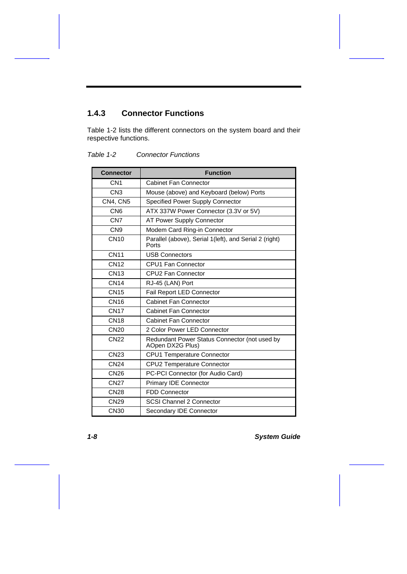# **1.4.3 Connector Functions**

Table 1-2 lists the different connectors on the system board and their respective functions.

| <b>Connector</b> | <b>Function</b>                                                   |
|------------------|-------------------------------------------------------------------|
| CN <sub>1</sub>  | <b>Cabinet Fan Connector</b>                                      |
| CN3              | Mouse (above) and Keyboard (below) Ports                          |
| CN4. CN5         | Specified Power Supply Connector                                  |
| CN <sub>6</sub>  | ATX 337W Power Connector (3.3V or 5V)                             |
| CN <sub>7</sub>  | AT Power Supply Connector                                         |
| CN <sub>9</sub>  | Modem Card Ring-in Connector                                      |
| <b>CN10</b>      | Parallel (above), Serial 1(left), and Serial 2 (right)<br>Ports   |
| <b>CN11</b>      | <b>USB Connectors</b>                                             |
| <b>CN12</b>      | <b>CPU1 Fan Connector</b>                                         |
| <b>CN13</b>      | <b>CPU2 Fan Connector</b>                                         |
| <b>CN14</b>      | RJ-45 (LAN) Port                                                  |
| <b>CN15</b>      | Fail Report LED Connector                                         |
| <b>CN16</b>      | <b>Cabinet Fan Connector</b>                                      |
| <b>CN17</b>      | <b>Cabinet Fan Connector</b>                                      |
| <b>CN18</b>      | <b>Cabinet Fan Connector</b>                                      |
| <b>CN20</b>      | 2 Color Power LED Connector                                       |
| <b>CN22</b>      | Redundant Power Status Connector (not used by<br>AOpen DX2G Plus) |
| <b>CN23</b>      | <b>CPU1 Temperature Connector</b>                                 |
| <b>CN24</b>      | CPU2 Temperature Connector                                        |
| <b>CN26</b>      | PC-PCI Connector (for Audio Card)                                 |
| <b>CN27</b>      | Primary IDE Connector                                             |
| <b>CN28</b>      | <b>FDD Connector</b>                                              |
| <b>CN29</b>      | SCSI Channel 2 Connector                                          |
| <b>CN30</b>      | Secondary IDE Connector                                           |

#### *Table 1-2 Connector Functions*

*1-8 System Guide*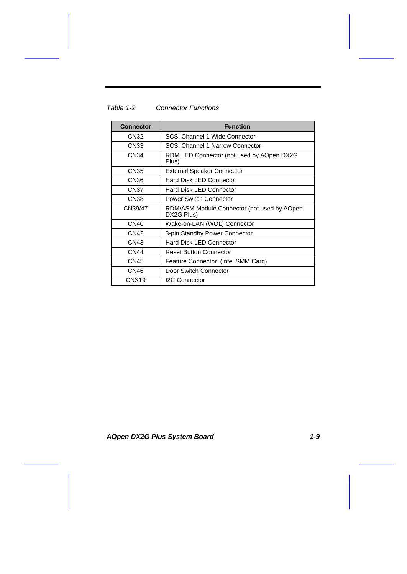| <b>Connector</b>  | <b>Function</b>                                           |
|-------------------|-----------------------------------------------------------|
| CN32              | SCSI Channel 1 Wide Connector                             |
| CN33              | <b>SCSI Channel 1 Narrow Connector</b>                    |
| CN34              | RDM LED Connector (not used by AOpen DX2G<br>Plus)        |
| CN35              | <b>External Speaker Connector</b>                         |
| CN36              | <b>Hard Disk LED Connector</b>                            |
| CN37              | <b>Hard Disk LED Connector</b>                            |
| CN38              | <b>Power Switch Connector</b>                             |
| CN39/47           | RDM/ASM Module Connector (not used by AOpen<br>DX2G Plus) |
| <b>CN40</b>       | Wake-on-LAN (WOL) Connector                               |
| CN42              | 3-pin Standby Power Connector                             |
| CN43              | <b>Hard Disk LED Connector</b>                            |
| <b>CN44</b>       | <b>Reset Button Connector</b>                             |
| CN45              | Feature Connector (Intel SMM Card)                        |
| CN <sub>46</sub>  | Door Switch Connector                                     |
| CNX <sub>19</sub> | <b>I2C Connector</b>                                      |

#### *Table 1-2 Connector Functions*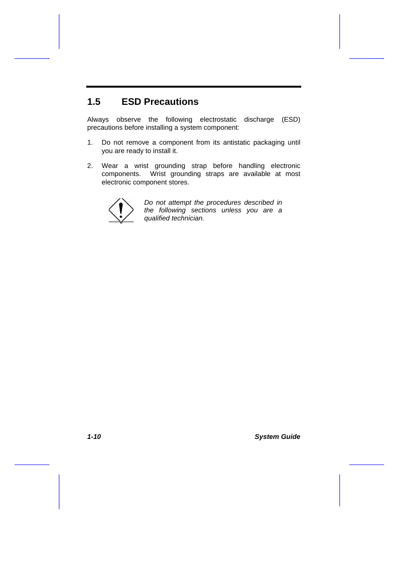# **1.5 ESD Precautions**

Always observe the following electrostatic discharge (ESD) precautions before installing a system component:

- 1. Do not remove a component from its antistatic packaging until you are ready to install it.
- 2. Wear a wrist grounding strap before handling electronic components. Wrist grounding straps are available at most electronic component stores.



*Do not attempt the procedures described in the following sections unless you are a qualified technician.*

*1-10 System Guide*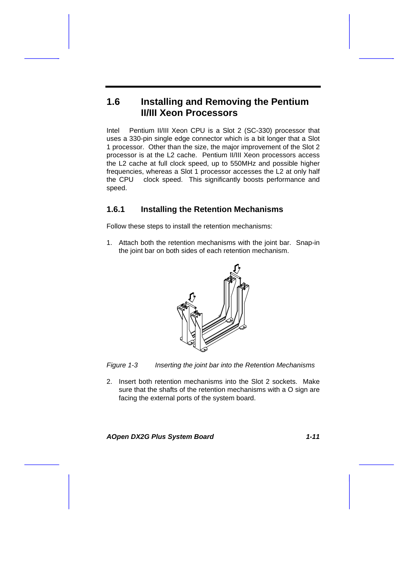# **1.6 Installing and Removing the Pentium II/III Xeon Processors**

Intel Pentium II/III Xeon CPU is a Slot 2 (SC-330) processor that uses a 330-pin single edge connector which is a bit longer that a Slot 1 processor. Other than the size, the major improvement of the Slot 2 processor is at the L2 cache. Pentium II/III Xeon processors access the L2 cache at full clock speed, up to 550MHz and possible higher frequencies, whereas a Slot 1 processor accesses the L2 at only half the CPU clock speed. This significantly boosts performance and speed.

#### **1.6.1 Installing the Retention Mechanisms**

Follow these steps to install the retention mechanisms:

1. Attach both the retention mechanisms with the joint bar. Snap-in the joint bar on both sides of each retention mechanism.



*Figure 1-3 Inserting the joint bar into the Retention Mechanisms*

2. Insert both retention mechanisms into the Slot 2 sockets. Make sure that the shafts of the retention mechanisms with a O sign are facing the external ports of the system board.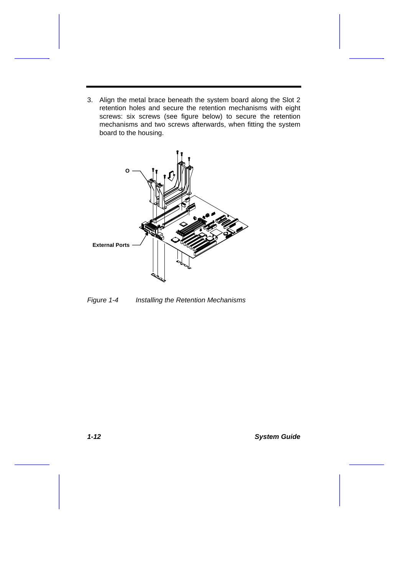3. Align the metal brace beneath the system board along the Slot 2 retention holes and secure the retention mechanisms with eight screws: six screws (see figure below) to secure the retention mechanisms and two screws afterwards, when fitting the system board to the housing.



*Figure 1-4 Installing the Retention Mechanisms*

*1-12 System Guide*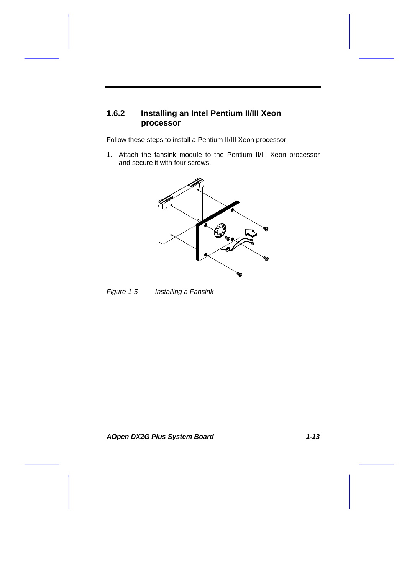# **1.6.2 Installing an Intel Pentium II/III Xeon processor**

Follow these steps to install a Pentium II/III Xeon processor:

1. Attach the fansink module to the Pentium II/III Xeon processor and secure it with four screws.





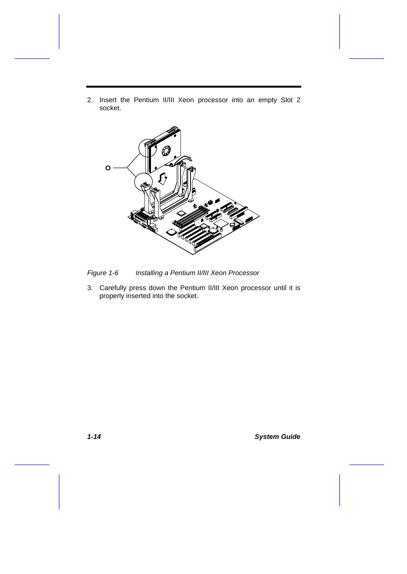2. Insert the Pentium II/III Xeon processor into an empty Slot 2 socket.



*Figure 1-6 Installing a Pentium II/III Xeon Processor*

3. Carefully press down the Pentium II/III Xeon processor until it is properly inserted into the socket.

*1-14 System Guide*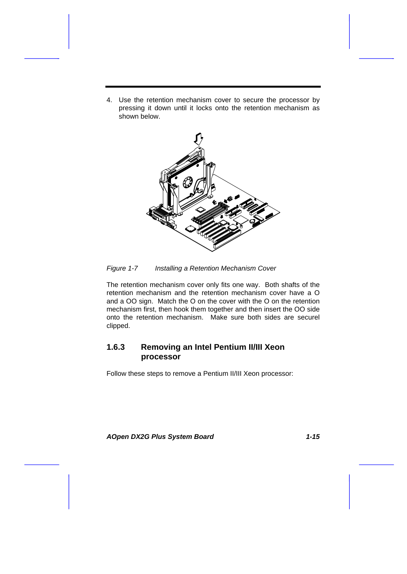4. Use the retention mechanism cover to secure the processor by pressing it down until it locks onto the retention mechanism as shown below.



*Figure 1-7 Installing a Retention Mechanism Cover*

The retention mechanism cover only fits one way. Both shafts of the retention mechanism and the retention mechanism cover have a O and a OO sign. Match the O on the cover with the O on the retention mechanism first, then hook them together and then insert the OO side onto the retention mechanism. Make sure both sides are securel clipped.

#### **1.6.3 Removing an Intel Pentium II/III Xeon processor**

Follow these steps to remove a Pentium II/III Xeon processor: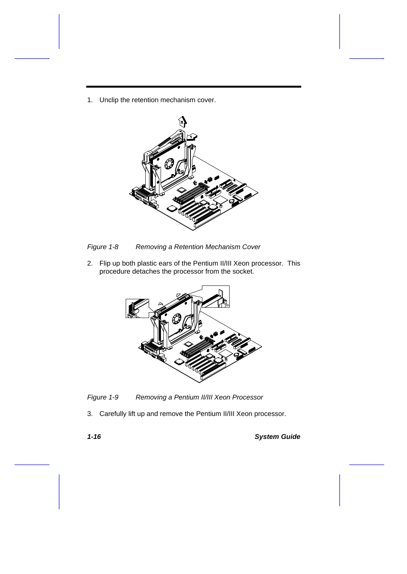1. Unclip the retention mechanism cover.



*Figure 1-8 Removing a Retention Mechanism Cover*

2. Flip up both plastic ears of the Pentium II/III Xeon processor. This procedure detaches the processor from the socket.



*Figure 1-9 Removing a Pentium II/III Xeon Processor*

3. Carefully lift up and remove the Pentium II/III Xeon processor.

*1-16 System Guide*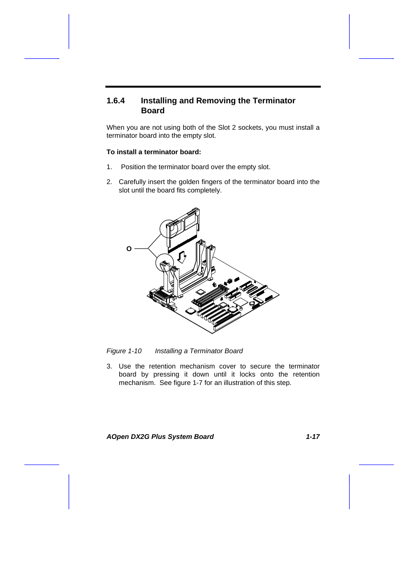#### **1.6.4 Installing and Removing the Terminator Board**

When you are not using both of the Slot 2 sockets, you must install a terminator board into the empty slot.

#### **To install a terminator board:**

- 1. Position the terminator board over the empty slot.
- 2. Carefully insert the golden fingers of the terminator board into the slot until the board fits completely.



*Figure 1-10 Installing a Terminator Board*

3. Use the retention mechanism cover to secure the terminator board by pressing it down until it locks onto the retention mechanism. See figure 1-7 for an illustration of this step.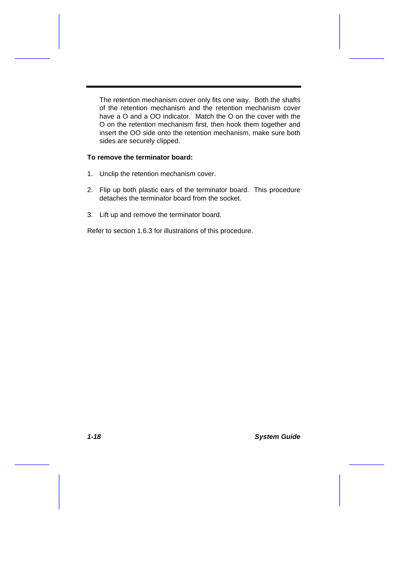The retention mechanism cover only fits one way. Both the shafts of the retention mechanism and the retention mechanism cover have a O and a OO indicator. Match the O on the cover with the O on the retention mechanism first, then hook them together and insert the OO side onto the retention mechanism, make sure both sides are securely clipped.

#### **To remove the terminator board:**

- 1. Unclip the retention mechanism cover.
- 2. Flip up both plastic ears of the terminator board. This procedure detaches the terminator board from the socket.
- 3. Lift up and remove the terminator board.

Refer to section 1.6.3 for illustrations of this procedure.

*1-18 System Guide*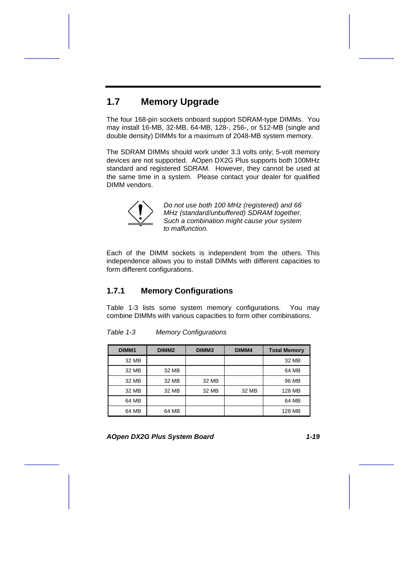# **1.7 Memory Upgrade**

The four 168-pin sockets onboard support SDRAM-type DIMMs. You may install 16-MB, 32-MB, 64-MB, 128-, 256-, or 512-MB (single and double density) DIMMs for a maximum of 2048-MB system memory.

The SDRAM DIMMs should work under 3.3 volts only; 5-volt memory devices are not supported. AOpen DX2G Plus supports both 100MHz standard and registered SDRAM. However, they cannot be used at the same time in a system. Please contact your dealer for qualified DIMM vendors.



*Do not use both 100 MHz (registered) and 66 MHz (standard/unbuffered) SDRAM together. Such a combination might cause your system to malfunction.*

Each of the DIMM sockets is independent from the others. This independence allows you to install DIMMs with different capacities to form different configurations.

### **1.7.1 Memory Configurations**

Table 1-3 lists some system memory configurations. You may combine DIMMs with various capacities to form other combinations.

| DIMM <sub>1</sub> | DIMM <sub>2</sub> | DIMM <sub>3</sub> | DIMM4 | <b>Total Memory</b> |
|-------------------|-------------------|-------------------|-------|---------------------|
| 32 MB             |                   |                   |       | 32 MB               |
| 32 MB             | 32 MB             |                   |       | 64 MB               |
| 32 MB             | 32 MB             | 32 MB             |       | 96 MB               |
| 32 MB             | 32 MB             | 32 MB             | 32 MB | 128 MB              |
| 64 MB             |                   |                   |       | 64 MB               |
| 64 MB             | 64 MB             |                   |       | 128 MB              |

*Table 1-3 Memory Configurations*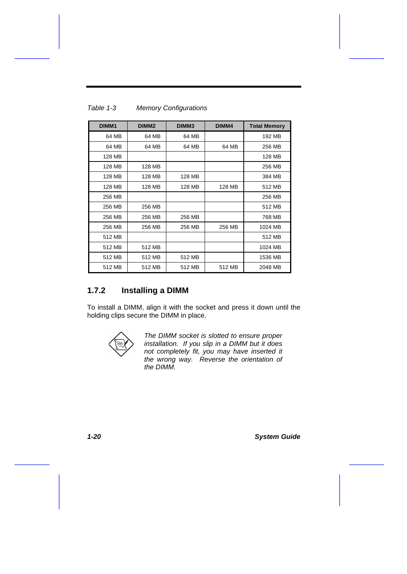| DIMM <sub>1</sub> | DIMM <sub>2</sub> | DIMM <sub>3</sub> | DIMM4  | <b>Total Memory</b> |
|-------------------|-------------------|-------------------|--------|---------------------|
| 64 MB             | 64 MB             | 64 MB             |        | 192 MB              |
| 64 MB             | 64 MB             | 64 MB             | 64 MB  | 256 MB              |
| 128 MB            |                   |                   |        | 128 MB              |
| 128 MB            | 128 MB            |                   |        | 256 MB              |
| 128 MB            | 128 MB            | 128 MB            |        | 384 MB              |
| 128 MB            | 128 MB            | 128 MB            | 128 MB | 512 MB              |
| 256 MB            |                   |                   |        | 256 MB              |
| 256 MB            | 256 MB            |                   |        | 512 MB              |
| 256 MB            | 256 MB            | 256 MB            |        | 768 MB              |
| 256 MB            | 256 MB            | 256 MB            | 256 MB | 1024 MB             |
| 512 MB            |                   |                   |        | 512 MB              |
| 512 MB            | 512 MB            |                   |        | 1024 MB             |
| 512 MB            | 512 MB            | 512 MB            |        | 1536 MB             |
| 512 MB            | 512 MB            | 512 MB            | 512 MB | 2048 MB             |

#### *Table 1-3 Memory Configurations*

#### **1.7.2 Installing a DIMM**

To install a DIMM, align it with the socket and press it down until the holding clips secure the DIMM in place.



*The DIMM socket is slotted to ensure proper installation. If you slip in a DIMM but it does not completely fit, you may have inserted it the wrong way. Reverse the orientation of the DIMM.*

*1-20 System Guide*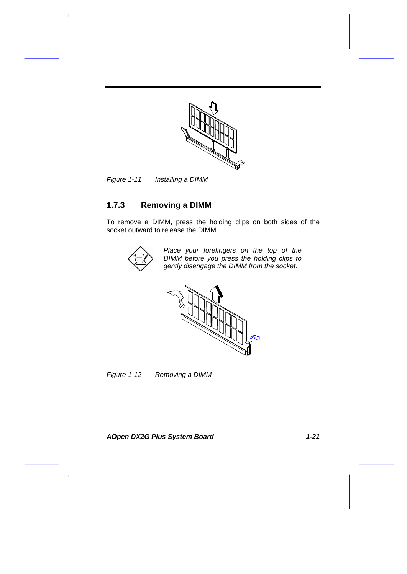

*Figure 1-11 Installing a DIMM*

## **1.7.3 Removing a DIMM**

To remove a DIMM, press the holding clips on both sides of the socket outward to release the DIMM.



*Place your forefingers on the top of the DIMM before you press the holding clips to gently disengage the DIMM from the socket.*



*Figure 1-12 Removing a DIMM*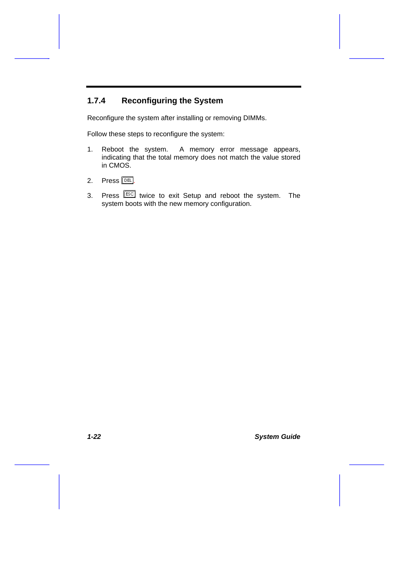# **1.7.4 Reconfiguring the System**

Reconfigure the system after installing or removing DIMMs.

Follow these steps to reconfigure the system:

- 1. Reboot the system. A memory error message appears, indicating that the total memory does not match the value stored in CMOS.
- 2. Press  $\mathbb{R}$ .
- 3. Press **ESC** twice to exit Setup and reboot the system. The system boots with the new memory configuration.

*1-22 System Guide*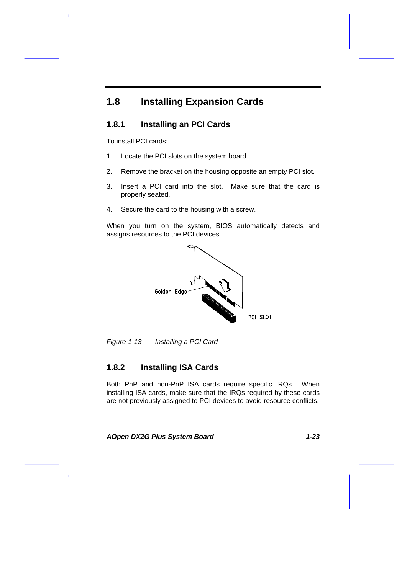# **1.8 Installing Expansion Cards**

### **1.8.1 Installing an PCI Cards**

To install PCI cards:

- 1. Locate the PCI slots on the system board.
- 2. Remove the bracket on the housing opposite an empty PCI slot.
- 3. Insert a PCI card into the slot. Make sure that the card is properly seated.
- 4. Secure the card to the housing with a screw.

When you turn on the system, BIOS automatically detects and assigns resources to the PCI devices.



*Figure 1-13 Installing a PCI Card*

#### **1.8.2 Installing ISA Cards**

Both PnP and non-PnP ISA cards require specific IRQs. When installing ISA cards, make sure that the IRQs required by these cards are not previously assigned to PCI devices to avoid resource conflicts.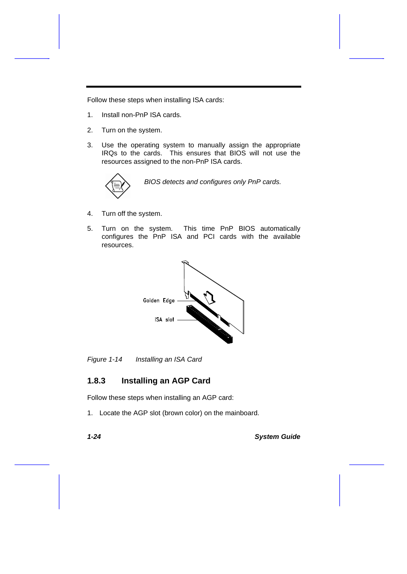Follow these steps when installing ISA cards:

- 1. Install non-PnP ISA cards.
- 2. Turn on the system.
- 3. Use the operating system to manually assign the appropriate IRQs to the cards. This ensures that BIOS will not use the resources assigned to the non-PnP ISA cards.



*BIOS detects and configures only PnP cards.*

- 4. Turn off the system.
- 5. Turn on the system. This time PnP BIOS automatically configures the PnP ISA and PCI cards with the available resources.



*Figure 1-14 Installing an ISA Card*

#### **1.8.3 Installing an AGP Card**

Follow these steps when installing an AGP card:

1. Locate the AGP slot (brown color) on the mainboard.

*1-24 System Guide*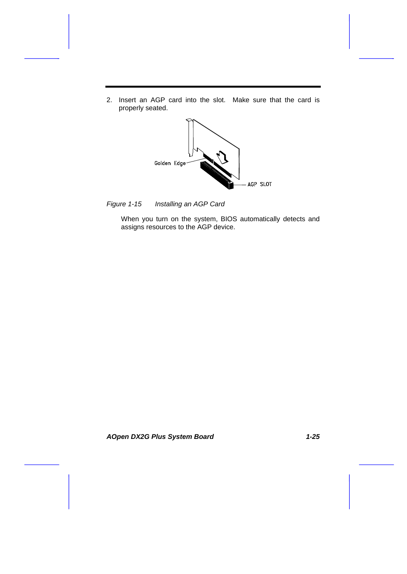2. Insert an AGP card into the slot. Make sure that the card is properly seated.



*Figure 1-15 Installing an AGP Card*

When you turn on the system, BIOS automatically detects and assigns resources to the AGP device.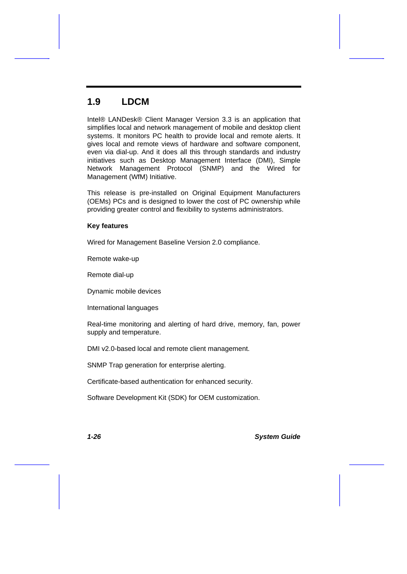# **1.9 LDCM**

Intel® LANDesk® Client Manager Version 3.3 is an application that simplifies local and network management of mobile and desktop client systems. It monitors PC health to provide local and remote alerts. It gives local and remote views of hardware and software component, even via dial-up. And it does all this through standards and industry initiatives such as Desktop Management Interface (DMI), Simple Network Management Protocol (SNMP) and the Wired for Management (WfM) Initiative.

This release is pre-installed on Original Equipment Manufacturers (OEMs) PCs and is designed to lower the cost of PC ownership while providing greater control and flexibility to systems administrators.

#### **Key features**

Wired for Management Baseline Version 2.0 compliance.

Remote wake-up

Remote dial-up

Dynamic mobile devices

International languages

Real-time monitoring and alerting of hard drive, memory, fan, power supply and temperature.

DMI v2.0-based local and remote client management.

SNMP Trap generation for enterprise alerting.

Certificate-based authentication for enhanced security.

Software Development Kit (SDK) for OEM customization.

*1-26 System Guide*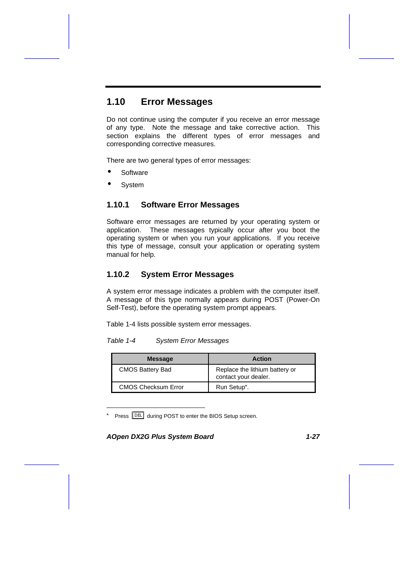# **1.10 Error Messages**

Do not continue using the computer if you receive an error message of any type. Note the message and take corrective action. This section explains the different types of error messages and corresponding corrective measures.

There are two general types of error messages:

- **Software**
- **System**

#### **1.10.1 Software Error Messages**

Software error messages are returned by your operating system or application. These messages typically occur after you boot the operating system or when you run your applications. If you receive this type of message, consult your application or operating system manual for help.

#### **1.10.2 System Error Messages**

A system error message indicates a problem with the computer itself. A message of this type normally appears during POST (Power-On Self-Test), before the operating system prompt appears.

Table 1-4 lists possible system error messages.

*Table 1-4 System Error Messages*

| <b>Message</b>             | <b>Action</b>                                          |
|----------------------------|--------------------------------------------------------|
| <b>CMOS Battery Bad</b>    | Replace the lithium battery or<br>contact your dealer. |
| <b>CMOS Checksum Error</b> | Run Setup <sup>*</sup> .                               |

Press **DEFT** during POST to enter the BIOS Setup screen.

*AOpen DX2G Plus System Board 1-27*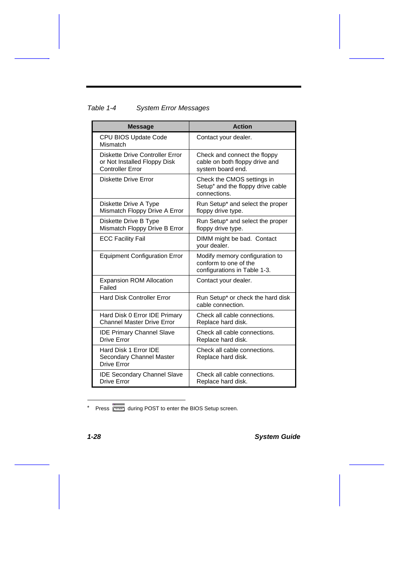# *Table 1-4 System Error Messages*

| <b>Message</b>                                                                             | <b>Action</b>                                                                               |
|--------------------------------------------------------------------------------------------|---------------------------------------------------------------------------------------------|
| CPU BIOS Update Code<br>Mismatch                                                           | Contact your dealer.                                                                        |
| Diskette Drive Controller Error<br>or Not Installed Floppy Disk<br><b>Controller Error</b> | Check and connect the floppy<br>cable on both floppy drive and<br>system board end.         |
| Diskette Drive Error                                                                       | Check the CMOS settings in<br>Setup <sup>*</sup> and the floppy drive cable<br>connections. |
| Diskette Drive A Type<br>Mismatch Floppy Drive A Error                                     | Run Setup* and select the proper<br>floppy drive type.                                      |
| Diskette Drive B Type<br>Mismatch Floppy Drive B Error                                     | Run Setup* and select the proper<br>floppy drive type.                                      |
| <b>ECC Facility Fail</b>                                                                   | DIMM might be bad. Contact<br>your dealer.                                                  |
| <b>Equipment Configuration Error</b>                                                       | Modify memory configuration to<br>conform to one of the<br>configurations in Table 1-3.     |
| <b>Expansion ROM Allocation</b><br>Failed                                                  | Contact your dealer.                                                                        |
| <b>Hard Disk Controller Error</b>                                                          | Run Setup* or check the hard disk<br>cable connection.                                      |
| Hard Disk 0 Error IDE Primary<br><b>Channel Master Drive Error</b>                         | Check all cable connections.<br>Replace hard disk.                                          |
| <b>IDE Primary Channel Slave</b><br>Drive Error                                            | Check all cable connections.<br>Replace hard disk.                                          |
| Hard Disk 1 Error IDE<br>Secondary Channel Master<br>Drive Error                           | Check all cable connections.<br>Replace hard disk.                                          |
| <b>IDE Secondary Channel Slave</b><br>Drive Frror                                          | Check all cable connections.<br>Replace hard disk.                                          |

\* Press **DEET** during POST to enter the BIOS Setup screen.

*1-28 System Guide*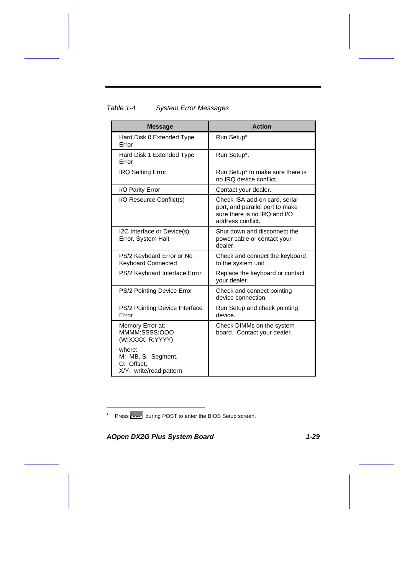| <b>Message</b>                                                        | <b>Action</b>                                                                                                         |
|-----------------------------------------------------------------------|-----------------------------------------------------------------------------------------------------------------------|
| Hard Disk 0 Extended Type<br>Error                                    | Run Setup*.                                                                                                           |
| Hard Disk 1 Extended Type<br>Error                                    | Run Setup*.                                                                                                           |
| <b>IRQ Setting Error</b>                                              | Run Setup* to make sure there is<br>no IRQ device conflict.                                                           |
| I/O Parity Error                                                      | Contact your dealer.                                                                                                  |
| I/O Resource Conflict(s)                                              | Check ISA add-on card, serial<br>port, and parallel port to make<br>sure there is no IRQ and I/O<br>address conflict. |
| I2C Interface or Device(s)<br>Error, System Halt                      | Shut down and disconnect the<br>power cable or contact your<br>dealer.                                                |
| PS/2 Keyboard Error or No<br><b>Keyboard Connected</b>                | Check and connect the keyboard<br>to the system unit.                                                                 |
| PS/2 Keyboard Interface Error                                         | Replace the keyboard or contact<br>your dealer.                                                                       |
| PS/2 Pointing Device Error                                            | Check and connect pointing<br>device connection.                                                                      |
| PS/2 Pointing Device Interface<br>Error                               | Run Setup and check pointing<br>device.                                                                               |
| Memory Error at:<br>MMMM:SSSS:OOO<br>(W:XXXX, R:YYYY)                 | Check DIMMs on the system<br>board. Contact your dealer.                                                              |
| where:<br>M: MB, S: Segment,<br>O: Offset.<br>X/Y: write/read pattern |                                                                                                                       |

### *Table 1-4 System Error Messages*

\* Press **DEET** during POST to enter the BIOS Setup screen.

*AOpen DX2G Plus System Board 1-29*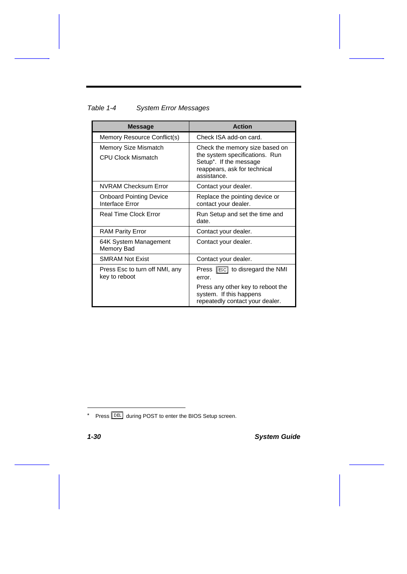### *Table 1-4 System Error Messages*

| <b>Message</b>                                    | <b>Action</b>                                                                                                                             |
|---------------------------------------------------|-------------------------------------------------------------------------------------------------------------------------------------------|
| Memory Resource Conflict(s)                       | Check ISA add-on card.                                                                                                                    |
| Memory Size Mismatch<br><b>CPU Clock Mismatch</b> | Check the memory size based on<br>the system specifications. Run<br>Setup*. If the message<br>reappears, ask for technical<br>assistance. |
| <b>NVRAM Checksum Error</b>                       | Contact your dealer.                                                                                                                      |
| <b>Onboard Pointing Device</b><br>Interface Error | Replace the pointing device or<br>contact your dealer.                                                                                    |
| <b>Real Time Clock Error</b>                      | Run Setup and set the time and<br>date.                                                                                                   |
| <b>RAM Parity Error</b>                           | Contact your dealer.                                                                                                                      |
| 64K System Management<br>Memory Bad               | Contact your dealer.                                                                                                                      |
| <b>SMRAM Not Exist</b>                            | Contact your dealer.                                                                                                                      |
| Press Esc to turn off NMI, any<br>key to reboot   | Press <b>Figure</b> to disregard the NMI<br>error.                                                                                        |
|                                                   | Press any other key to reboot the<br>system. If this happens<br>repeatedly contact your dealer.                                           |

*1-30 System Guide*

<sup>\*</sup> Press **DEL** during POST to enter the BIOS Setup screen.